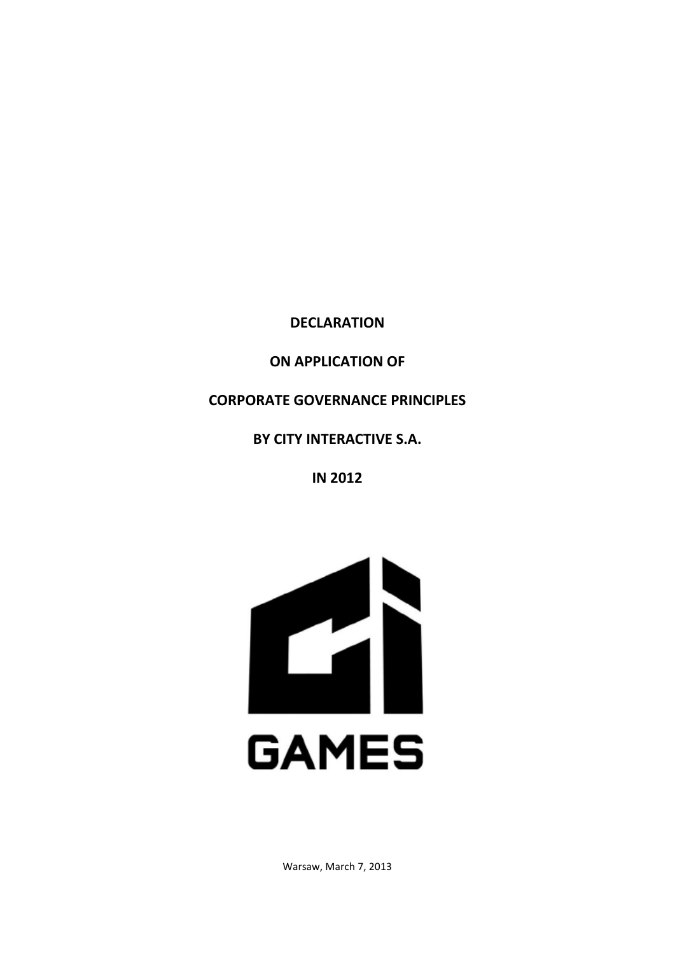**DECLARATION**

**ON APPLICATION OF**

**CORPORATE GOVERNANCE PRINCIPLES**

**BY CITY INTERACTIVE S.A.**

**IN 2012**



Warsaw, March 7, 2013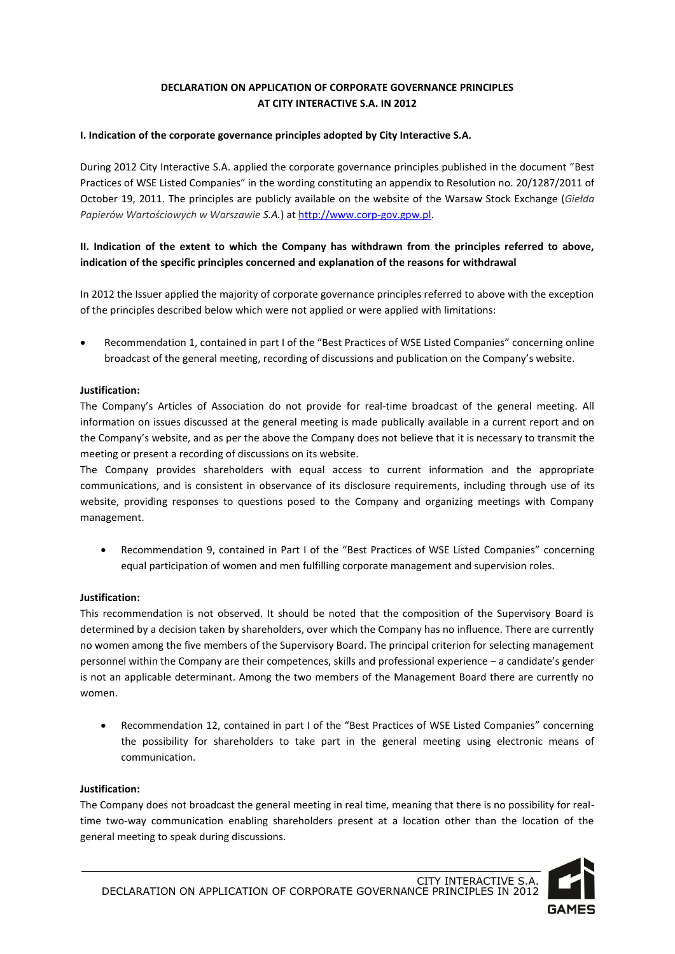# **DECLARATION ON APPLICATION OF CORPORATE GOVERNANCE PRINCIPLES AT CITY INTERACTIVE S.A. IN 2012**

## **I. Indication of the corporate governance principles adopted by City Interactive S.A.**

During 2012 City Interactive S.A. applied the corporate governance principles published in the document "Best Practices of WSE Listed Companies" in the wording constituting an appendix to Resolution no. 20/1287/2011 of October 19, 2011. The principles are publicly available on the website of the Warsaw Stock Exchange (*Giełda Papierów Wartościowych w Warszawie S.A.*) a[t http://www.corp-gov.gpw.pl.](http://www.corp-gov.gpw.pl/)

# **II. Indication of the extent to which the Company has withdrawn from the principles referred to above, indication of the specific principles concerned and explanation of the reasons for withdrawal**

In 2012 the Issuer applied the majority of corporate governance principles referred to above with the exception of the principles described below which were not applied or were applied with limitations:

 Recommendation 1, contained in part I of the "Best Practices of WSE Listed Companies" concerning online broadcast of the general meeting, recording of discussions and publication on the Company's website.

# **Justification:**

The Company's Articles of Association do not provide for real-time broadcast of the general meeting. All information on issues discussed at the general meeting is made publically available in a current report and on the Company's website, and as per the above the Company does not believe that it is necessary to transmit the meeting or present a recording of discussions on its website.

The Company provides shareholders with equal access to current information and the appropriate communications, and is consistent in observance of its disclosure requirements, including through use of its website, providing responses to questions posed to the Company and organizing meetings with Company management.

 Recommendation 9, contained in Part I of the "Best Practices of WSE Listed Companies" concerning equal participation of women and men fulfilling corporate management and supervision roles.

## **Justification:**

This recommendation is not observed. It should be noted that the composition of the Supervisory Board is determined by a decision taken by shareholders, over which the Company has no influence. There are currently no women among the five members of the Supervisory Board. The principal criterion for selecting management personnel within the Company are their competences, skills and professional experience – a candidate's gender is not an applicable determinant. Among the two members of the Management Board there are currently no women.

 Recommendation 12, contained in part I of the "Best Practices of WSE Listed Companies" concerning the possibility for shareholders to take part in the general meeting using electronic means of communication.

## **Justification:**

The Company does not broadcast the general meeting in real time, meaning that there is no possibility for realtime two-way communication enabling shareholders present at a location other than the location of the general meeting to speak during discussions.

CITY INTERACTIVE S.A. DECLARATION ON APPLICATION OF CORPORATE GOVERNANCE PRINCIPLES IN 2012

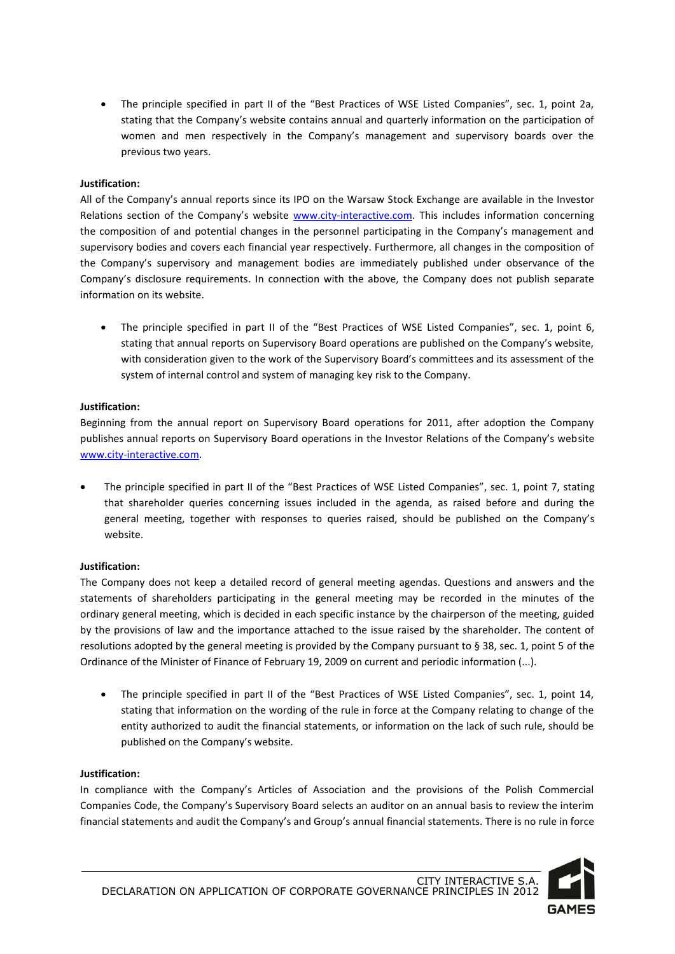The principle specified in part II of the "Best Practices of WSE Listed Companies", sec. 1, point 2a, stating that the Company's website contains annual and quarterly information on the participation of women and men respectively in the Company's management and supervisory boards over the previous two years.

# **Justification:**

All of the Company's annual reports since its IPO on the Warsaw Stock Exchange are available in the Investor Relations section of the Company's website [www.city-interactive.com.](http://www.city-interactive.com/) This includes information concerning the composition of and potential changes in the personnel participating in the Company's management and supervisory bodies and covers each financial year respectively. Furthermore, all changes in the composition of the Company's supervisory and management bodies are immediately published under observance of the Company's disclosure requirements. In connection with the above, the Company does not publish separate information on its website.

 The principle specified in part II of the "Best Practices of WSE Listed Companies", sec. 1, point 6, stating that annual reports on Supervisory Board operations are published on the Company's website, with consideration given to the work of the Supervisory Board's committees and its assessment of the system of internal control and system of managing key risk to the Company.

# **Justification:**

Beginning from the annual report on Supervisory Board operations for 2011, after adoption the Company publishes annual reports on Supervisory Board operations in the Investor Relations of the Company's website [www.city-interactive.com.](http://www.city-interactive.com/)

 The principle specified in part II of the "Best Practices of WSE Listed Companies", sec. 1, point 7, stating that shareholder queries concerning issues included in the agenda, as raised before and during the general meeting, together with responses to queries raised, should be published on the Company's website.

## **Justification:**

The Company does not keep a detailed record of general meeting agendas. Questions and answers and the statements of shareholders participating in the general meeting may be recorded in the minutes of the ordinary general meeting, which is decided in each specific instance by the chairperson of the meeting, guided by the provisions of law and the importance attached to the issue raised by the shareholder. The content of resolutions adopted by the general meeting is provided by the Company pursuant to § 38, sec. 1, point 5 of the Ordinance of the Minister of Finance of February 19, 2009 on current and periodic information (...).

 The principle specified in part II of the "Best Practices of WSE Listed Companies", sec. 1, point 14, stating that information on the wording of the rule in force at the Company relating to change of the entity authorized to audit the financial statements, or information on the lack of such rule, should be published on the Company's website.

## **Justification:**

In compliance with the Company's Articles of Association and the provisions of the Polish Commercial Companies Code, the Company's Supervisory Board selects an auditor on an annual basis to review the interim financial statements and audit the Company's and Group's annual financial statements. There is no rule in force

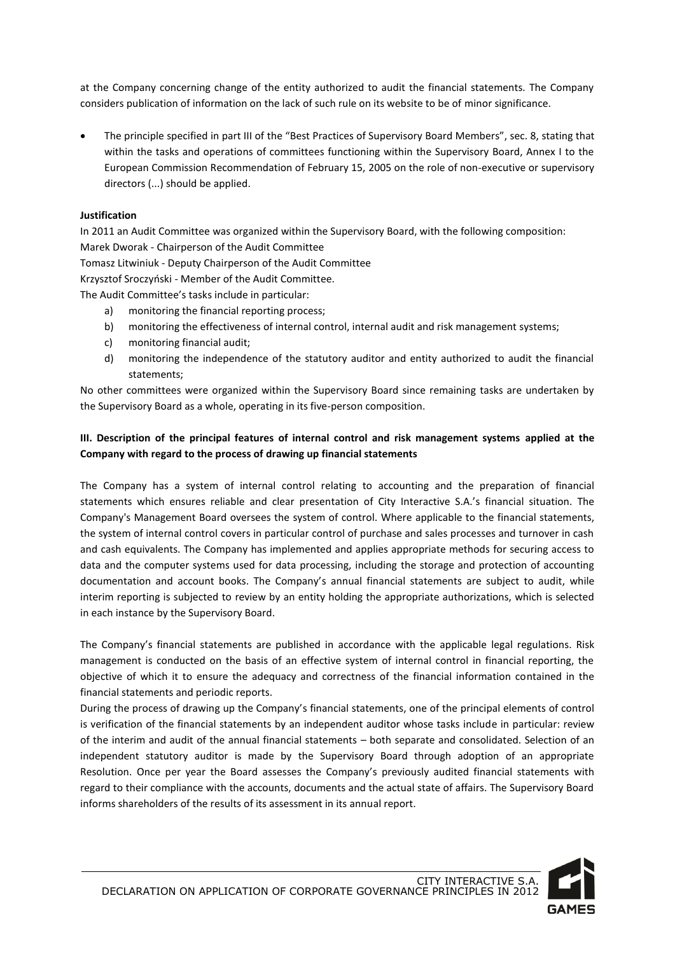at the Company concerning change of the entity authorized to audit the financial statements. The Company considers publication of information on the lack of such rule on its website to be of minor significance.

 The principle specified in part III of the "Best Practices of Supervisory Board Members", sec. 8, stating that within the tasks and operations of committees functioning within the Supervisory Board, Annex I to the European Commission Recommendation of February 15, 2005 on the role of non-executive or supervisory directors (...) should be applied.

# **Justification**

In 2011 an Audit Committee was organized within the Supervisory Board, with the following composition: Marek Dworak - Chairperson of the Audit Committee Tomasz Litwiniuk - Deputy Chairperson of the Audit Committee Krzysztof Sroczyński - Member of the Audit Committee. The Audit Committee's tasks include in particular: a) monitoring the financial reporting process;

- b) monitoring the effectiveness of internal control, internal audit and risk management systems;
- c) monitoring financial audit;
- d) monitoring the independence of the statutory auditor and entity authorized to audit the financial statements;

No other committees were organized within the Supervisory Board since remaining tasks are undertaken by the Supervisory Board as a whole, operating in its five-person composition.

# **III. Description of the principal features of internal control and risk management systems applied at the Company with regard to the process of drawing up financial statements**

The Company has a system of internal control relating to accounting and the preparation of financial statements which ensures reliable and clear presentation of City Interactive S.A.'s financial situation. The Company's Management Board oversees the system of control. Where applicable to the financial statements, the system of internal control covers in particular control of purchase and sales processes and turnover in cash and cash equivalents. The Company has implemented and applies appropriate methods for securing access to data and the computer systems used for data processing, including the storage and protection of accounting documentation and account books. The Company's annual financial statements are subject to audit, while interim reporting is subjected to review by an entity holding the appropriate authorizations, which is selected in each instance by the Supervisory Board.

The Company's financial statements are published in accordance with the applicable legal regulations. Risk management is conducted on the basis of an effective system of internal control in financial reporting, the objective of which it to ensure the adequacy and correctness of the financial information contained in the financial statements and periodic reports.

During the process of drawing up the Company's financial statements, one of the principal elements of control is verification of the financial statements by an independent auditor whose tasks include in particular: review of the interim and audit of the annual financial statements – both separate and consolidated. Selection of an independent statutory auditor is made by the Supervisory Board through adoption of an appropriate Resolution. Once per year the Board assesses the Company's previously audited financial statements with regard to their compliance with the accounts, documents and the actual state of affairs. The Supervisory Board informs shareholders of the results of its assessment in its annual report.

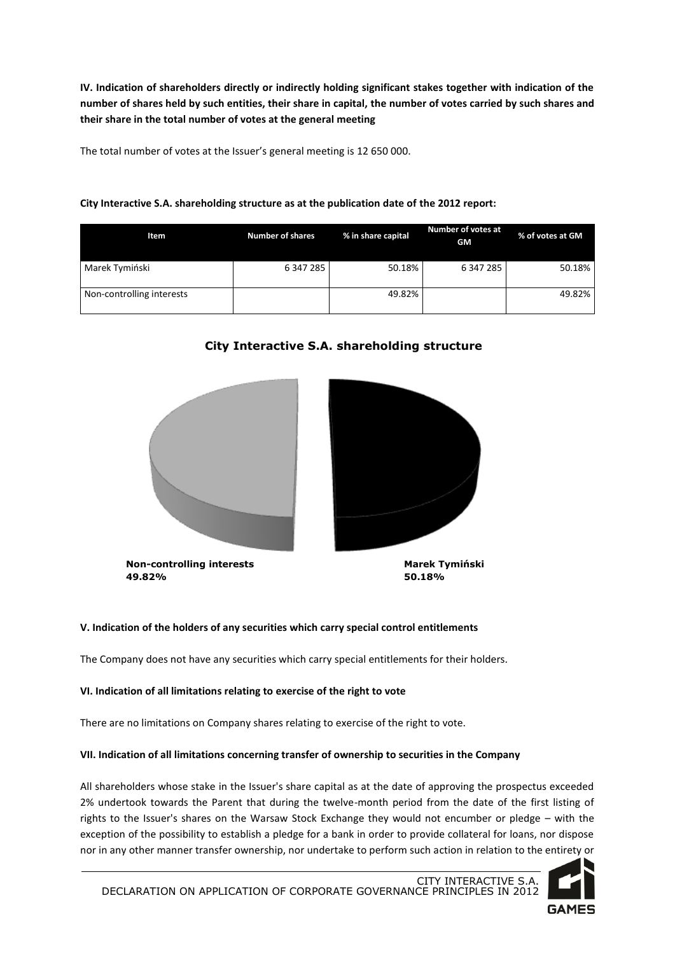**IV. Indication of shareholders directly or indirectly holding significant stakes together with indication of the number of shares held by such entities, their share in capital, the number of votes carried by such shares and their share in the total number of votes at the general meeting**

The total number of votes at the Issuer's general meeting is 12 650 000.

## **City Interactive S.A. shareholding structure as at the publication date of the 2012 report:**

| Item                      | <b>Number of shares</b> | % in share capital | <b>Number of votes at</b><br><b>GM</b> | % of votes at GM |
|---------------------------|-------------------------|--------------------|----------------------------------------|------------------|
| Marek Tymiński            | 6 347 285               | 50.18%             | 6 347 285                              | 50.18%           |
| Non-controlling interests |                         | 49.82%             |                                        | 49.82%           |

# **City Interactive S.A. shareholding structure**







**50.18%**

## **V. Indication of the holders of any securities which carry special control entitlements**

The Company does not have any securities which carry special entitlements for their holders.

## **VI. Indication of all limitations relating to exercise of the right to vote**

There are no limitations on Company shares relating to exercise of the right to vote.

### **VII. Indication of all limitations concerning transfer of ownership to securities in the Company**

All shareholders whose stake in the Issuer's share capital as at the date of approving the prospectus exceeded 2% undertook towards the Parent that during the twelve-month period from the date of the first listing of rights to the Issuer's shares on the Warsaw Stock Exchange they would not encumber or pledge – with the exception of the possibility to establish a pledge for a bank in order to provide collateral for loans, nor dispose nor in any other manner transfer ownership, nor undertake to perform such action in relation to the entirety or

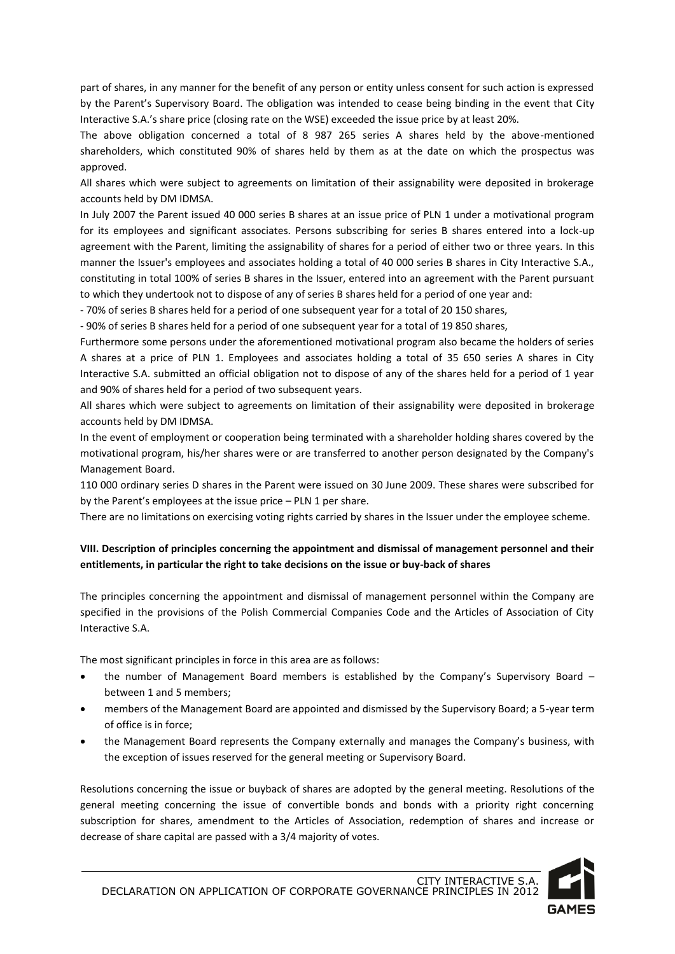part of shares, in any manner for the benefit of any person or entity unless consent for such action is expressed by the Parent's Supervisory Board. The obligation was intended to cease being binding in the event that City Interactive S.A.'s share price (closing rate on the WSE) exceeded the issue price by at least 20%.

The above obligation concerned a total of 8 987 265 series A shares held by the above-mentioned shareholders, which constituted 90% of shares held by them as at the date on which the prospectus was approved.

All shares which were subject to agreements on limitation of their assignability were deposited in brokerage accounts held by DM IDMSA.

In July 2007 the Parent issued 40 000 series B shares at an issue price of PLN 1 under a motivational program for its employees and significant associates. Persons subscribing for series B shares entered into a lock-up agreement with the Parent, limiting the assignability of shares for a period of either two or three years. In this manner the Issuer's employees and associates holding a total of 40 000 series B shares in City Interactive S.A., constituting in total 100% of series B shares in the Issuer, entered into an agreement with the Parent pursuant to which they undertook not to dispose of any of series B shares held for a period of one year and:

- 70% of series B shares held for a period of one subsequent year for a total of 20 150 shares,

- 90% of series B shares held for a period of one subsequent year for a total of 19 850 shares,

Furthermore some persons under the aforementioned motivational program also became the holders of series A shares at a price of PLN 1. Employees and associates holding a total of 35 650 series A shares in City Interactive S.A. submitted an official obligation not to dispose of any of the shares held for a period of 1 year and 90% of shares held for a period of two subsequent years.

All shares which were subject to agreements on limitation of their assignability were deposited in brokerage accounts held by DM IDMSA.

In the event of employment or cooperation being terminated with a shareholder holding shares covered by the motivational program, his/her shares were or are transferred to another person designated by the Company's Management Board.

110 000 ordinary series D shares in the Parent were issued on 30 June 2009. These shares were subscribed for by the Parent's employees at the issue price – PLN 1 per share.

There are no limitations on exercising voting rights carried by shares in the Issuer under the employee scheme.

# **VIII. Description of principles concerning the appointment and dismissal of management personnel and their entitlements, in particular the right to take decisions on the issue or buy-back of shares**

The principles concerning the appointment and dismissal of management personnel within the Company are specified in the provisions of the Polish Commercial Companies Code and the Articles of Association of City Interactive S.A.

The most significant principles in force in this area are as follows:

- the number of Management Board members is established by the Company's Supervisory Board between 1 and 5 members;
- members of the Management Board are appointed and dismissed by the Supervisory Board; a 5-year term of office is in force;
- the Management Board represents the Company externally and manages the Company's business, with the exception of issues reserved for the general meeting or Supervisory Board.

Resolutions concerning the issue or buyback of shares are adopted by the general meeting. Resolutions of the general meeting concerning the issue of convertible bonds and bonds with a priority right concerning subscription for shares, amendment to the Articles of Association, redemption of shares and increase or decrease of share capital are passed with a 3/4 majority of votes.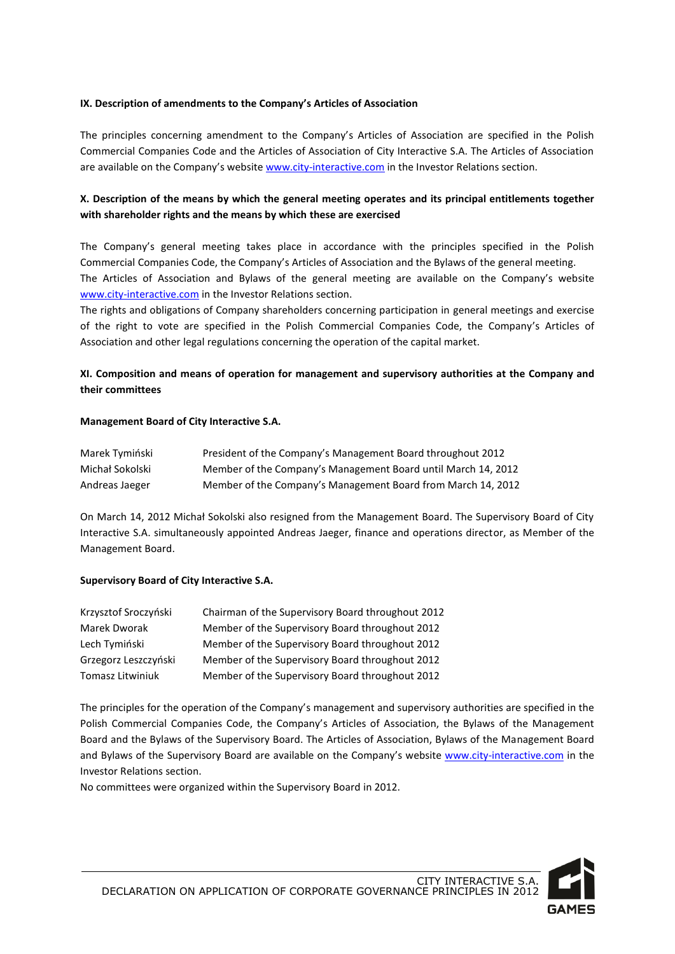### **IX. Description of amendments to the Company's Articles of Association**

The principles concerning amendment to the Company's Articles of Association are specified in the Polish Commercial Companies Code and the Articles of Association of City Interactive S.A. The Articles of Association are available on the Company's websit[e www.city-interactive.com](http://www.city-interactive.com/) in the Investor Relations section.

# **X. Description of the means by which the general meeting operates and its principal entitlements together with shareholder rights and the means by which these are exercised**

The Company's general meeting takes place in accordance with the principles specified in the Polish Commercial Companies Code, the Company's Articles of Association and the Bylaws of the general meeting. The Articles of Association and Bylaws of the general meeting are available on the Company's website [www.city-interactive.com](http://www.city-interactive.com/) in the Investor Relations section.

The rights and obligations of Company shareholders concerning participation in general meetings and exercise of the right to vote are specified in the Polish Commercial Companies Code, the Company's Articles of Association and other legal regulations concerning the operation of the capital market.

# **XI. Composition and means of operation for management and supervisory authorities at the Company and their committees**

### **Management Board of City Interactive S.A.**

| Marek Tymiński  | President of the Company's Management Board throughout 2012   |
|-----------------|---------------------------------------------------------------|
| Michał Sokolski | Member of the Company's Management Board until March 14, 2012 |
| Andreas Jaeger  | Member of the Company's Management Board from March 14, 2012  |

On March 14, 2012 Michał Sokolski also resigned from the Management Board. The Supervisory Board of City Interactive S.A. simultaneously appointed Andreas Jaeger, finance and operations director, as Member of the Management Board.

## **Supervisory Board of City Interactive S.A.**

| Krzysztof Sroczyński | Chairman of the Supervisory Board throughout 2012 |
|----------------------|---------------------------------------------------|
| Marek Dworak         | Member of the Supervisory Board throughout 2012   |
| Lech Tymiński        | Member of the Supervisory Board throughout 2012   |
| Grzegorz Leszczyński | Member of the Supervisory Board throughout 2012   |
| Tomasz Litwiniuk     | Member of the Supervisory Board throughout 2012   |

The principles for the operation of the Company's management and supervisory authorities are specified in the Polish Commercial Companies Code, the Company's Articles of Association, the Bylaws of the Management Board and the Bylaws of the Supervisory Board. The Articles of Association, Bylaws of the Management Board and Bylaws of the Supervisory Board are available on the Company's website [www.city-interactive.com](http://www.city-interactive.com/) in the Investor Relations section.

No committees were organized within the Supervisory Board in 2012.